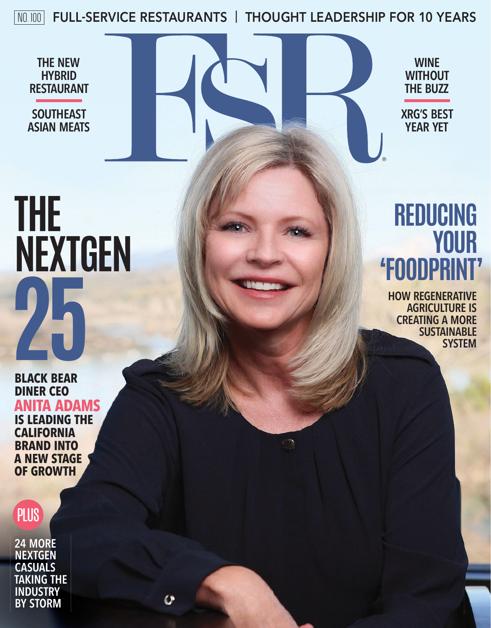NO. 100 **FULL-SERVICE RESTAURANTS** | **THOUGHT LEADERSHIP FOR 10 YEARS**

**THE NEW HYBRID RESTAURANT**

**SOUTHEAST ASIAN MEATS**

**THE<br>NEXTGEN** 

 $\Omega$ External and  $\Gamma$ 

**WINE WITHOUT THE BUZZ**

**XRG'S BEST YEAR YET**

®

# **REDUCING 'FOODPRINT'**

**HOW REGENERATIVE AGRICULTURE IS CREATING A MORE SUSTAINABLE SYSTEM**

**BLACK BEAR<br>DINER CEO<br>ANITA ADAM<br>IS LEADING THE<br>CALIFORNIA<br>BRAND INTO BLACK BEAR DINER CEO ANITA ADAMS IS LEADING THE CALIFORNIA BRAND INTO A NEW STAGE OF GROWTH**



**24 MORE NEXTGEN CASUALS TAKING THE INDUSTRY BY STORM**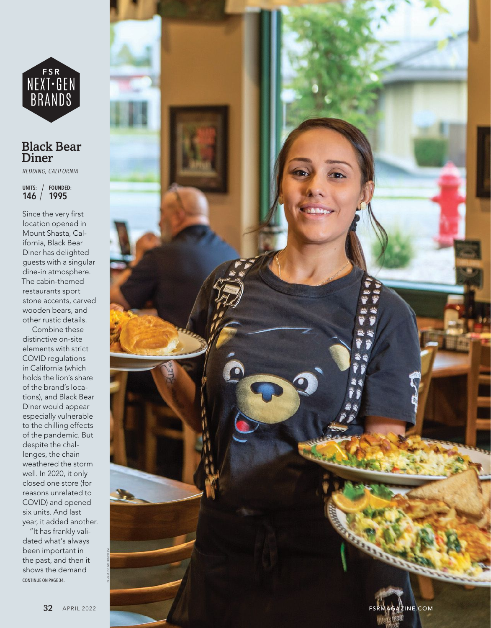

### **Black Bear Diner**

REDDING, CALIFORNIA

UNITS: / FOUNDED:  $146 / 1995$ 

Since the very first location opened in Mount Shasta, California, Black Bear Diner has delighted guests with a singular dine-in atmosphere. The cabin-themed restaurants sport stone accents, carved wooden bears, and other rustic details.

Combine these distinctive on-site elements with strict COVID regulations in California (which holds the lion's share of the brand's locations), and Black Bear Diner would appear especially vulnerable to the chilling effects of the pandemic. But despite the challenges, the chain weathered the storm well. In 2020, it only closed one store (for reasons unrelated to COVID) and opened six units. And last year, it added another. "It has frankly vali-

dated what's always been important in the past, and then it shows the demand CONTINUE ON PAGE 34.

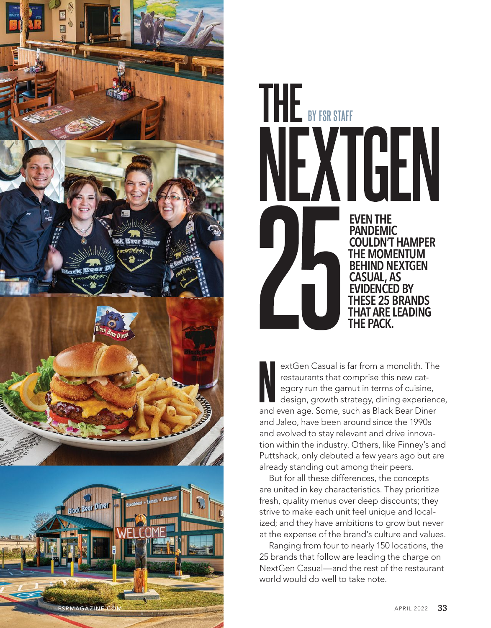



extGen Casual is far from a monolith. The restaurants that comprise this new category run the gamut in terms of cuisine, design, growth strategy, dining experience, and even age. Some, such as Black Bear Diner and Jaleo, have been around since the 1990s and evolved to stay relevant and drive innovation within the industry. Others, like Finney's and Puttshack, only debuted a few years ago but are already standing out among their peers. N

But for all these differences, the concepts are united in key characteristics. They prioritize fresh, quality menus over deep discounts; they strive to make each unit feel unique and localized; and they have ambitions to grow but never at the expense of the brand's culture and values.

Ranging from four to nearly 150 locations, the 25 brands that follow are leading the charge on NextGen Casual—and the rest of the restaurant world would do well to take note.